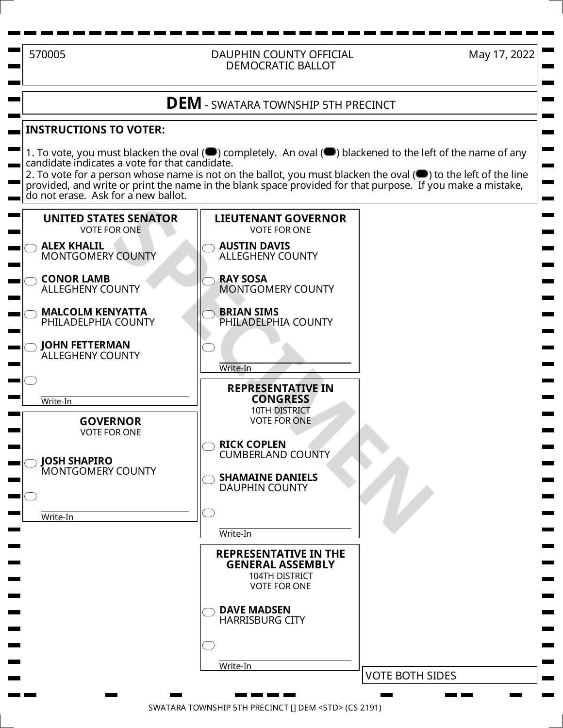## 570005 DAUPHIN COUNTY OFFICIAL DEMOCRATIC BALLOT

May 17, 2022

## **DEM** - SWATARA TOWNSHIP 5TH PRECINCT

## **INSTRUCTIONS TO VOTER:**

1. To vote, you must blacken the oval (●) completely. An oval (●) blackened to the left of the name of any candidate indicates a vote for that candidate.

2. To vote for a person whose name is not on the ballot, you must blacken the oval  $(\blacksquare)$  to the left of the line provided, and write or print the name in the blank space provided for that purpose. If you make a mistake, do not erase. Ask for a new ballot.